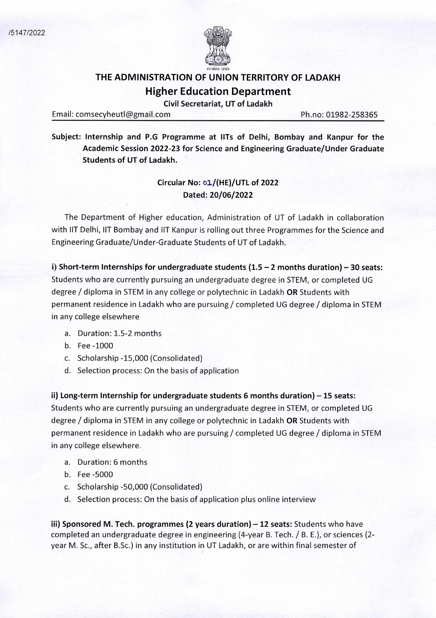

## **THE ADMINISTRATION OF UNION TERRITORY OF LADAKH Higher Education Department**

**Civil Secretariat, UT of Ladakh** 

Email: comsecyheutl@gmail.com Ph.no: 01982-258365

**Subject: Internship and P.G Programme at IlTs of Delhi, Bombay and Kanpur for the Academic Session 2022-23 for Science and Engineering Graduate/Under Graduate Students of UT of Ladakh.** 

## **Circular No: ol/(HE)/UTL of 2022 Dated: 20/06/2022**

The Department of Higher education, Administration of UT of Ladakh in collaboration with lIT Delhi, lIT Bombay and lIT Kanpur is rolling out three Programmes for the Science and Engineering Graduate/Under-Graduate Students of UT of Ladakh.

**1) Short-term Internships for undergraduate students (1.5 – 2 months duration) – 30 seats:** Students who are currently pursuing an undergraduate degree in STEM, or completed UG degree / diploma in STEM in any college or polytechnic in Ladakh **OR** Students with permanent residence in Ladakh who are pursuing / completed UG degree / diploma in STEM in any college elsewhere

- a. Duration: 1.5-2 months
- b. Fee-1000
- c. Scholarship -15,000 (Consolidated)
- d. Selection process: On the basis of application

ii) **Long-term Internship for undergraduate students 6 months duration)** — **15 seats:**  Students who are currently pursuing an undergraduate degree in STEM, or completed UG degree / diploma in STEM in any college or polytechnic in Ladakh **OR** Students with permanent residence in Ladakh who are pursuing / completed UG degree / diploma in STEM in any college elsewhere.

- a. Duration: 6 months
- b. Fee-5000
- c. Scholarship -50,000 (Consolidated)
- d. Selection process: On the basis of application plus online interview

iii) Sponsored M. Tech. programmes (2 years duration) - 12 seats: Students who have completed an undergraduate degree in engineering (4-year B. Tech. / B. E.), or sciences (2 year M. Sc., after B.Sc.) in any institution in UT Ladakh, or are within final semester of